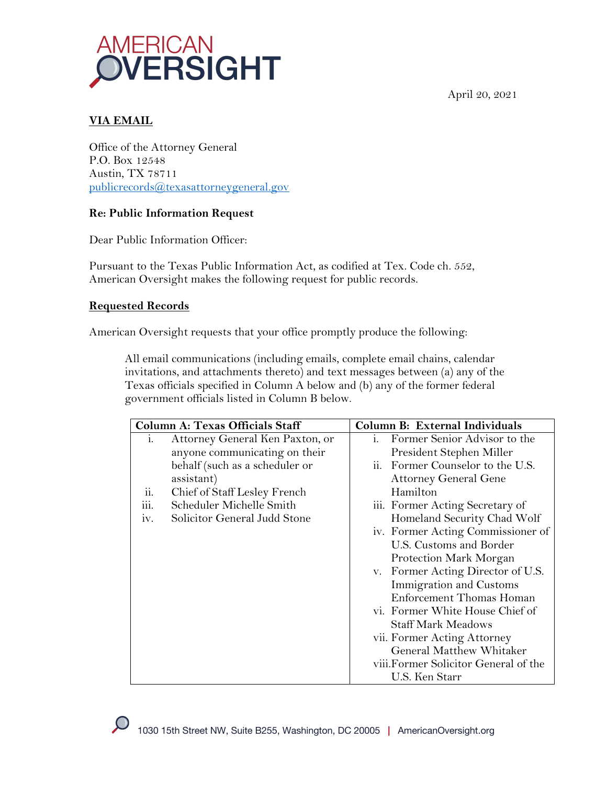April 20, 2021



# **VIA EMAIL**

Office of the Attorney General P.O. Box 12548 Austin, TX 78711 publicrecords@texasattorneygeneral.gov

# **Re: Public Information Request**

Dear Public Information Officer:

Pursuant to the Texas Public Information Act, as codified at Tex. Code ch. 552, American Oversight makes the following request for public records.

## **Requested Records**

American Oversight requests that your office promptly produce the following:

All email communications (including emails, complete email chains, calendar invitations, and attachments thereto) and text messages between (a) any of the Texas officials specified in Column A below and (b) any of the former federal government officials listed in Column B below.

| <b>Column A: Texas Officials Staff</b> |                                 | Column B: External Individuals                 |
|----------------------------------------|---------------------------------|------------------------------------------------|
| 1.                                     | Attorney General Ken Paxton, or | Former Senior Advisor to the<br>$\mathbf{1}$ . |
|                                        | anyone communicating on their   | President Stephen Miller                       |
|                                        | behalf (such as a scheduler or  | ii. Former Counselor to the U.S.               |
|                                        | assistant)                      | <b>Attorney General Gene</b>                   |
| ii.                                    | Chief of Staff Lesley French    | Hamilton                                       |
| $\dddot{\text{iii}}$ .                 | Scheduler Michelle Smith        | iii. Former Acting Secretary of                |
| IV.                                    | Solicitor General Judd Stone    | Homeland Security Chad Wolf                    |
|                                        |                                 | iv. Former Acting Commissioner of              |
|                                        |                                 | U.S. Customs and Border                        |
|                                        |                                 | Protection Mark Morgan                         |
|                                        |                                 | v. Former Acting Director of U.S.              |
|                                        |                                 | Immigration and Customs                        |
|                                        |                                 | Enforcement Thomas Homan                       |
|                                        |                                 | vi. Former White House Chief of                |
|                                        |                                 | <b>Staff Mark Meadows</b>                      |
|                                        |                                 | vii. Former Acting Attorney                    |
|                                        |                                 | General Matthew Whitaker                       |
|                                        |                                 | viii. Former Solicitor General of the          |
|                                        |                                 | U.S. Ken Starr                                 |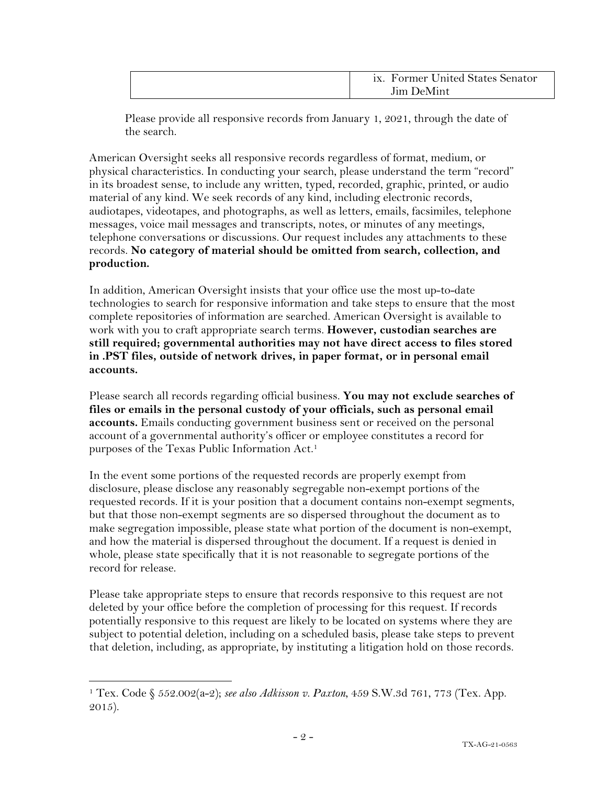| ix. Former United States Senator |
|----------------------------------|
| <b>Iim DeMint</b>                |

Please provide all responsive records from January 1, 2021, through the date of the search.

American Oversight seeks all responsive records regardless of format, medium, or physical characteristics. In conducting your search, please understand the term "record" in its broadest sense, to include any written, typed, recorded, graphic, printed, or audio material of any kind. We seek records of any kind, including electronic records, audiotapes, videotapes, and photographs, as well as letters, emails, facsimiles, telephone messages, voice mail messages and transcripts, notes, or minutes of any meetings, telephone conversations or discussions. Our request includes any attachments to these records. **No category of material should be omitted from search, collection, and production.**

In addition, American Oversight insists that your office use the most up-to-date technologies to search for responsive information and take steps to ensure that the most complete repositories of information are searched. American Oversight is available to work with you to craft appropriate search terms. **However, custodian searches are still required; governmental authorities may not have direct access to files stored in .PST files, outside of network drives, in paper format, or in personal email accounts.**

Please search all records regarding official business. **You may not exclude searches of files or emails in the personal custody of your officials, such as personal email accounts.** Emails conducting government business sent or received on the personal account of a governmental authority's officer or employee constitutes a record for purposes of the Texas Public Information Act.1

In the event some portions of the requested records are properly exempt from disclosure, please disclose any reasonably segregable non-exempt portions of the requested records. If it is your position that a document contains non-exempt segments, but that those non-exempt segments are so dispersed throughout the document as to make segregation impossible, please state what portion of the document is non-exempt, and how the material is dispersed throughout the document. If a request is denied in whole, please state specifically that it is not reasonable to segregate portions of the record for release.

Please take appropriate steps to ensure that records responsive to this request are not deleted by your office before the completion of processing for this request. If records potentially responsive to this request are likely to be located on systems where they are subject to potential deletion, including on a scheduled basis, please take steps to prevent that deletion, including, as appropriate, by instituting a litigation hold on those records.

<sup>1</sup> Tex. Code § 552.002(a-2); *see also Adkisson v. Paxton*, 459 S.W.3d 761, 773 (Tex. App. 2015).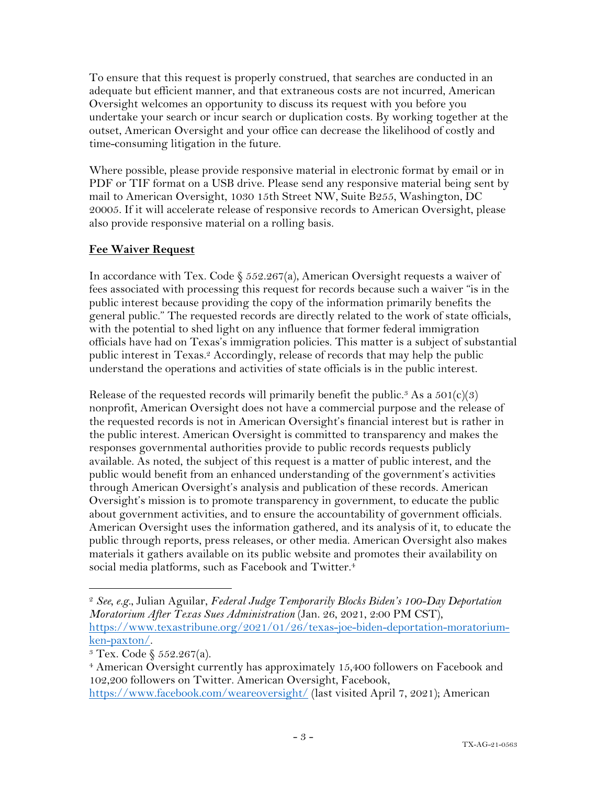To ensure that this request is properly construed, that searches are conducted in an adequate but efficient manner, and that extraneous costs are not incurred, American Oversight welcomes an opportunity to discuss its request with you before you undertake your search or incur search or duplication costs. By working together at the outset, American Oversight and your office can decrease the likelihood of costly and time-consuming litigation in the future.

Where possible, please provide responsive material in electronic format by email or in PDF or TIF format on a USB drive. Please send any responsive material being sent by mail to American Oversight, 1030 15th Street NW, Suite B255, Washington, DC 20005. If it will accelerate release of responsive records to American Oversight, please also provide responsive material on a rolling basis.

# **Fee Waiver Request**

In accordance with Tex. Code  $\S$  552.267(a), American Oversight requests a waiver of fees associated with processing this request for records because such a waiver "is in the public interest because providing the copy of the information primarily benefits the general public." The requested records are directly related to the work of state officials, with the potential to shed light on any influence that former federal immigration officials have had on Texas's immigration policies. This matter is a subject of substantial public interest in Texas.2 Accordingly, release of records that may help the public understand the operations and activities of state officials is in the public interest.

Release of the requested records will primarily benefit the public.<sup>3</sup> As a  $501(c)(3)$ nonprofit, American Oversight does not have a commercial purpose and the release of the requested records is not in American Oversight's financial interest but is rather in the public interest. American Oversight is committed to transparency and makes the responses governmental authorities provide to public records requests publicly available. As noted, the subject of this request is a matter of public interest, and the public would benefit from an enhanced understanding of the government's activities through American Oversight's analysis and publication of these records. American Oversight's mission is to promote transparency in government, to educate the public about government activities, and to ensure the accountability of government officials. American Oversight uses the information gathered, and its analysis of it, to educate the public through reports, press releases, or other media. American Oversight also makes materials it gathers available on its public website and promotes their availability on social media platforms, such as Facebook and Twitter.<sup>4</sup>

<sup>2</sup> *See, e.g.*, Julian Aguilar, *Federal Judge Temporarily Blocks Biden's 100-Day Deportation Moratorium After Texas Sues Administration* (Jan. 26, 2021, 2:00 PM CST), https://www.texastribune.org/2021/01/26/texas-joe-biden-deportation-moratorium- $\frac{\text{ken-paxton}}{\text{3~Texas Code}}$   $\frac{552.267(a)}{\text{3.3}}$ .

<sup>&</sup>lt;sup>4</sup> American Oversight currently has approximately 15,400 followers on Facebook and 102,200 followers on Twitter. American Oversight, Facebook,

https://www.facebook.com/weareoversight/ (last visited April 7, 2021); American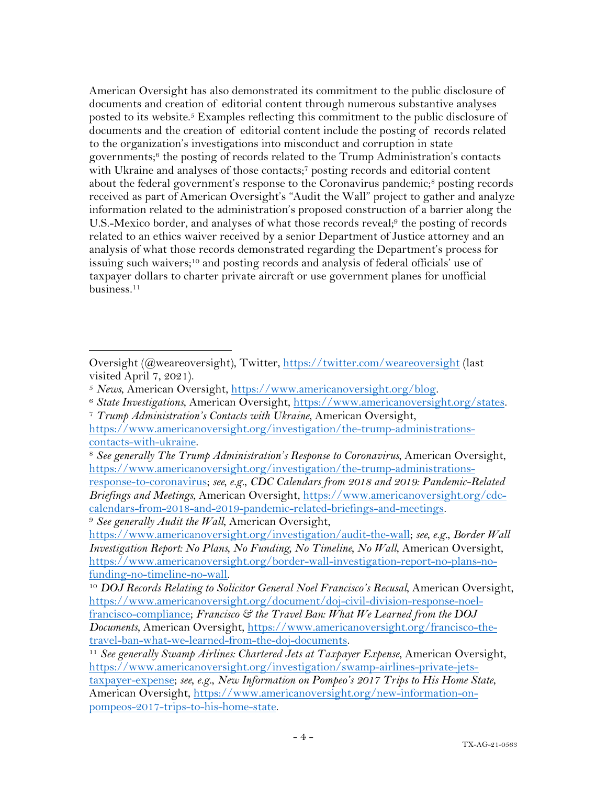American Oversight has also demonstrated its commitment to the public disclosure of documents and creation of editorial content through numerous substantive analyses posted to its website.5 Examples reflecting this commitment to the public disclosure of documents and the creation of editorial content include the posting of records related to the organization's investigations into misconduct and corruption in state governments; <sup>6</sup> the posting of records related to the Trump Administration's contacts with Ukraine and analyses of those contacts;<sup>7</sup> posting records and editorial content about the federal government's response to the Coronavirus pandemic;<sup>8</sup> posting records received as part of American Oversight's "Audit the Wall" project to gather and analyze information related to the administration's proposed construction of a barrier along the U.S.-Mexico border, and analyses of what those records reveal;<sup>9</sup> the posting of records related to an ethics waiver received by a senior Department of Justice attorney and an analysis of what those records demonstrated regarding the Department's process for issuing such waivers;10 and posting records and analysis of federal officials' use of taxpayer dollars to charter private aircraft or use government planes for unofficial business.11

Oversight (@weareoversight), Twitter, https://twitter.com/weareoversight (last visited April 7, 2021).

<sup>&</sup>lt;sup>5</sup> News, American Oversight, <u>https://www.americanoversight.org/blog</u>.<br><sup>6</sup> State Investigations, American Oversight, https://www.americanoversight.org/states.<br><sup>7</sup> Trump Administration's Contacts with Ukraine, American Ov

https://www.americanoversight.org/investigation/the-trump-administrationscontacts-with-ukraine.

<sup>8</sup> *See generally The Trump Administration's Response to Coronavirus*, American Oversight, https://www.americanoversight.org/investigation/the-trump-administrations-

response-to-coronavirus; *see, e.g.*, *CDC Calendars from 2018 and 2019: Pandemic-Related Briefings and Meetings*, American Oversight, https://www.americanoversight.org/cdccalendars-from-2018-and-2019-pandemic-related-briefings-and-meetings.

<sup>9</sup> *See generally Audit the Wall*, American Oversight,

https://www.americanoversight.org/investigation/audit-the-wall; *see, e.g.*, *Border Wall Investigation Report: No Plans, No Funding, No Timeline, No Wall*, American Oversight, https://www.americanoversight.org/border-wall-investigation-report-no-plans-nofunding-no-timeline-no-wall. 10 *DOJ Records Relating to Solicitor General Noel Francisco's Recusal*, American Oversight,

https://www.americanoversight.org/document/doj-civil-division-response-noelfrancisco-compliance; *Francisco & the Travel Ban: What We Learned from the DOJ Documents*, American Oversight, https://www.americanoversight.org/francisco-thetravel-ban-what-we-learned-from-the-doj-documents.

<sup>&</sup>lt;sup>11</sup> See generally Swamp Airlines: Chartered Jets at Taxpayer Expense, American Oversight, https://www.americanoversight.org/investigation/swamp-airlines-private-jetstaxpayer-expense; *see, e.g.*, *New Information on Pompeo's 2017 Trips to His Home State*, American Oversight, https://www.americanoversight.org/new-information-onpompeos-2017-trips-to-his-home-state.